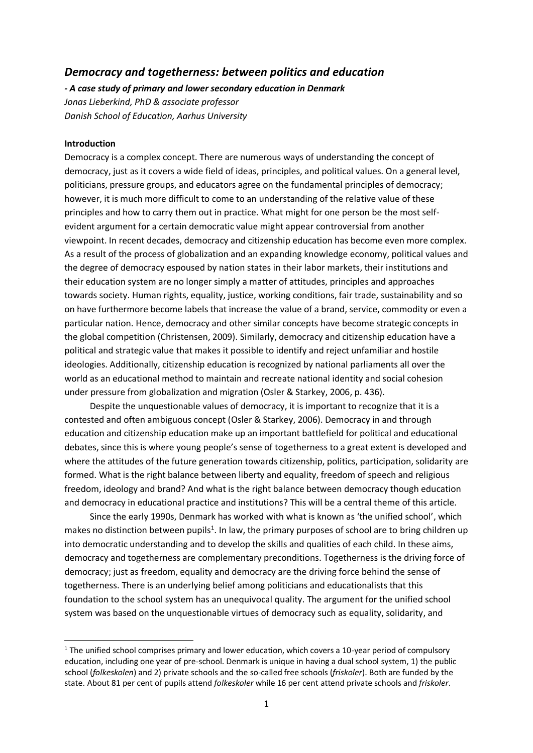# *Democracy and togetherness: between politics and education*

*- A case study of primary and lower secondary education in Denmark Jonas Lieberkind, PhD & associate professor Danish School of Education, Aarhus University*

## **Introduction**

-

Democracy is a complex concept. There are numerous ways of understanding the concept of democracy, just as it covers a wide field of ideas, principles, and political values. On a general level, politicians, pressure groups, and educators agree on the fundamental principles of democracy; however, it is much more difficult to come to an understanding of the relative value of these principles and how to carry them out in practice. What might for one person be the most selfevident argument for a certain democratic value might appear controversial from another viewpoint. In recent decades, democracy and citizenship education has become even more complex. As a result of the process of globalization and an expanding knowledge economy, political values and the degree of democracy espoused by nation states in their labor markets, their institutions and their education system are no longer simply a matter of attitudes, principles and approaches towards society. Human rights, equality, justice, working conditions, fair trade, sustainability and so on have furthermore become labels that increase the value of a brand, service, commodity or even a particular nation. Hence, democracy and other similar concepts have become strategic concepts in the global competition (Christensen, 2009). Similarly, democracy and citizenship education have a political and strategic value that makes it possible to identify and reject unfamiliar and hostile ideologies. Additionally, citizenship education is recognized by national parliaments all over the world as an educational method to maintain and recreate national identity and social cohesion under pressure from globalization and migration (Osler & Starkey, 2006, p. 436).

Despite the unquestionable values of democracy, it is important to recognize that it is a contested and often ambiguous concept (Osler & Starkey, 2006). Democracy in and through education and citizenship education make up an important battlefield for political and educational debates, since this is where young people's sense of togetherness to a great extent is developed and where the attitudes of the future generation towards citizenship, politics, participation, solidarity are formed. What is the right balance between liberty and equality, freedom of speech and religious freedom, ideology and brand? And what is the right balance between democracy though education and democracy in educational practice and institutions? This will be a central theme of this article.

Since the early 1990s, Denmark has worked with what is known as 'the unified school', which makes no distinction between pupils<sup>1</sup>. In law, the primary purposes of school are to bring children up into democratic understanding and to develop the skills and qualities of each child. In these aims, democracy and togetherness are complementary preconditions. Togetherness is the driving force of democracy; just as freedom, equality and democracy are the driving force behind the sense of togetherness. There is an underlying belief among politicians and educationalists that this foundation to the school system has an unequivocal quality. The argument for the unified school system was based on the unquestionable virtues of democracy such as equality, solidarity, and

 $1$  The unified school comprises primary and lower education, which covers a 10-year period of compulsory education, including one year of pre-school. Denmark is unique in having a dual school system, 1) the public school (*folkeskolen*) and 2) private schools and the so-called free schools (*friskoler*). Both are funded by the state. About 81 per cent of pupils attend *folkeskoler* while 16 per cent attend private schools and *friskoler*.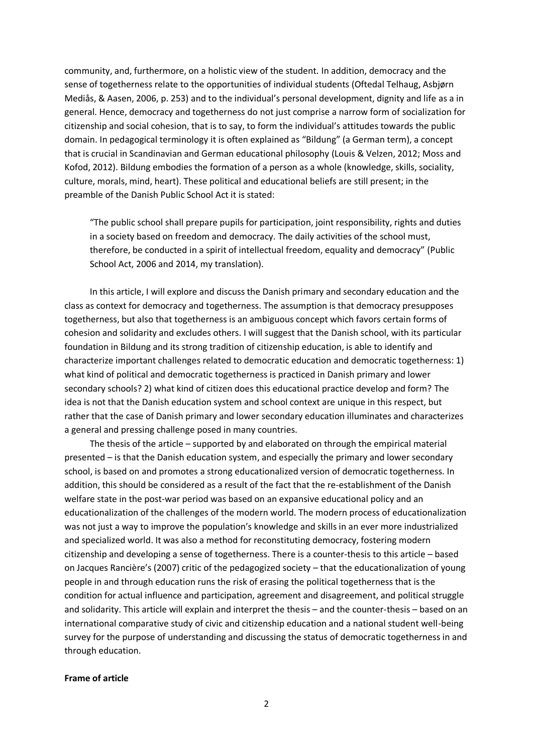community, and, furthermore, on a holistic view of the student. In addition, democracy and the sense of togetherness relate to the opportunities of individual students (Oftedal Telhaug, Asbjørn Mediås, & Aasen, 2006, p. 253) and to the individual's personal development, dignity and life as a in general. Hence, democracy and togetherness do not just comprise a narrow form of socialization for citizenship and social cohesion, that is to say, to form the individual's attitudes towards the public domain. In pedagogical terminology it is often explained as "Bildung" (a German term), a concept that is crucial in Scandinavian and German educational philosophy (Louis & Velzen, 2012; Moss and Kofod, 2012). Bildung embodies the formation of a person as a whole (knowledge, skills, sociality, culture, morals, mind, heart). These political and educational beliefs are still present; in the preamble of the Danish Public School Act it is stated:

"The public school shall prepare pupils for participation, joint responsibility, rights and duties in a society based on freedom and democracy. The daily activities of the school must, therefore, be conducted in a spirit of intellectual freedom, equality and democracy" (Public School Act, 2006 and 2014, my translation).

In this article, I will explore and discuss the Danish primary and secondary education and the class as context for democracy and togetherness. The assumption is that democracy presupposes togetherness, but also that togetherness is an ambiguous concept which favors certain forms of cohesion and solidarity and excludes others. I will suggest that the Danish school, with its particular foundation in Bildung and its strong tradition of citizenship education, is able to identify and characterize important challenges related to democratic education and democratic togetherness: 1) what kind of political and democratic togetherness is practiced in Danish primary and lower secondary schools? 2) what kind of citizen does this educational practice develop and form? The idea is not that the Danish education system and school context are unique in this respect, but rather that the case of Danish primary and lower secondary education illuminates and characterizes a general and pressing challenge posed in many countries.

The thesis of the article – supported by and elaborated on through the empirical material presented – is that the Danish education system, and especially the primary and lower secondary school, is based on and promotes a strong educationalized version of democratic togetherness. In addition, this should be considered as a result of the fact that the re-establishment of the Danish welfare state in the post-war period was based on an expansive educational policy and an educationalization of the challenges of the modern world. The modern process of educationalization was not just a way to improve the population's knowledge and skills in an ever more industrialized and specialized world. It was also a method for reconstituting democracy, fostering modern citizenship and developing a sense of togetherness. There is a counter-thesis to this article – based on Jacques Rancière's (2007) critic of the pedagogized society – that the educationalization of young people in and through education runs the risk of erasing the political togetherness that is the condition for actual influence and participation, agreement and disagreement, and political struggle and solidarity. This article will explain and interpret the thesis – and the counter-thesis – based on an international comparative study of civic and citizenship education and a national student well-being survey for the purpose of understanding and discussing the status of democratic togetherness in and through education.

## **Frame of article**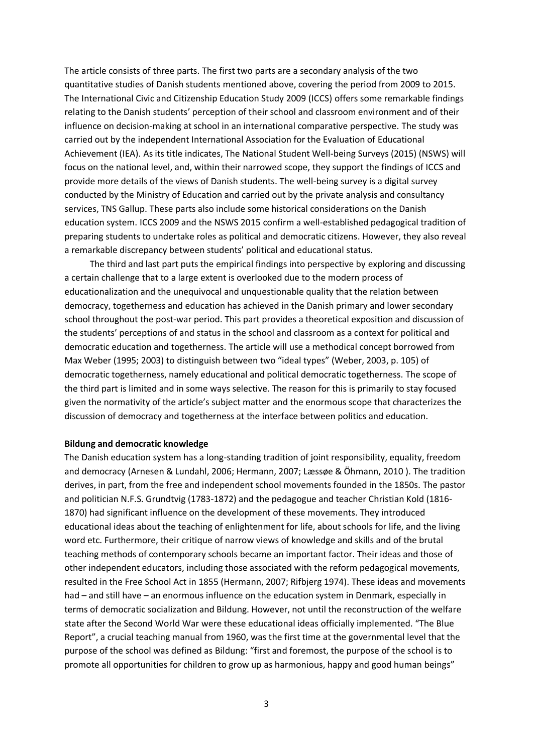The article consists of three parts. The first two parts are a secondary analysis of the two quantitative studies of Danish students mentioned above, covering the period from 2009 to 2015. The International Civic and Citizenship Education Study 2009 (ICCS) offers some remarkable findings relating to the Danish students' perception of their school and classroom environment and of their influence on decision-making at school in an international comparative perspective. The study was carried out by the independent International Association for the Evaluation of Educational Achievement (IEA). As its title indicates, The National Student Well-being Surveys (2015) (NSWS) will focus on the national level, and, within their narrowed scope, they support the findings of ICCS and provide more details of the views of Danish students. The well-being survey is a digital survey conducted by the Ministry of Education and carried out by the private analysis and consultancy services, TNS Gallup. These parts also include some historical considerations on the Danish education system. ICCS 2009 and the NSWS 2015 confirm a well-established pedagogical tradition of preparing students to undertake roles as political and democratic citizens. However, they also reveal a remarkable discrepancy between students' political and educational status.

The third and last part puts the empirical findings into perspective by exploring and discussing a certain challenge that to a large extent is overlooked due to the modern process of educationalization and the unequivocal and unquestionable quality that the relation between democracy, togetherness and education has achieved in the Danish primary and lower secondary school throughout the post-war period. This part provides a theoretical exposition and discussion of the students' perceptions of and status in the school and classroom as a context for political and democratic education and togetherness. The article will use a methodical concept borrowed from Max Weber (1995; 2003) to distinguish between two "ideal types" (Weber, 2003, p. 105) of democratic togetherness, namely educational and political democratic togetherness. The scope of the third part is limited and in some ways selective. The reason for this is primarily to stay focused given the normativity of the article's subject matter and the enormous scope that characterizes the discussion of democracy and togetherness at the interface between politics and education.

## **Bildung and democratic knowledge**

The Danish education system has a long-standing tradition of joint responsibility, equality, freedom and democracy (Arnesen & Lundahl, 2006; Hermann, 2007; Læssøe & Öhmann, 2010 ). The tradition derives, in part, from the free and independent school movements founded in the 1850s. The pastor and politician N.F.S. Grundtvig (1783-1872) and the pedagogue and teacher Christian Kold (1816- 1870) had significant influence on the development of these movements. They introduced educational ideas about the teaching of enlightenment for life, about schools for life, and the living word etc. Furthermore, their critique of narrow views of knowledge and skills and of the brutal teaching methods of contemporary schools became an important factor. Their ideas and those of other independent educators, including those associated with the reform pedagogical movements, resulted in the Free School Act in 1855 (Hermann, 2007; Rifbjerg 1974). These ideas and movements had – and still have – an enormous influence on the education system in Denmark, especially in terms of democratic socialization and Bildung. However, not until the reconstruction of the welfare state after the Second World War were these educational ideas officially implemented. "The Blue Report", a crucial teaching manual from 1960, was the first time at the governmental level that the purpose of the school was defined as Bildung: "first and foremost, the purpose of the school is to promote all opportunities for children to grow up as harmonious, happy and good human beings"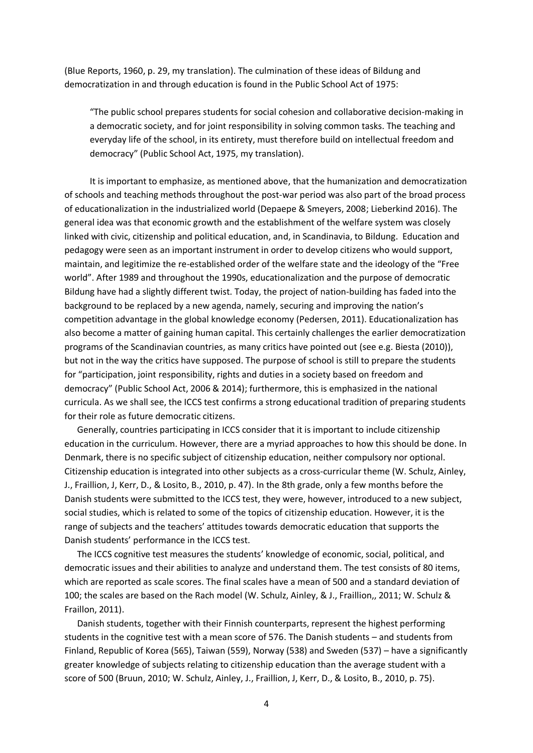(Blue Reports, 1960, p. 29, my translation). The culmination of these ideas of Bildung and democratization in and through education is found in the Public School Act of 1975:

"The public school prepares students for social cohesion and collaborative decision-making in a democratic society, and for joint responsibility in solving common tasks. The teaching and everyday life of the school, in its entirety, must therefore build on intellectual freedom and democracy" (Public School Act, 1975, my translation).

It is important to emphasize, as mentioned above, that the humanization and democratization of schools and teaching methods throughout the post-war period was also part of the broad process of educationalization in the industrialized world (Depaepe & Smeyers, 2008; Lieberkind 2016). The general idea was that economic growth and the establishment of the welfare system was closely linked with civic, citizenship and political education, and, in Scandinavia, to Bildung. Education and pedagogy were seen as an important instrument in order to develop citizens who would support, maintain, and legitimize the re-established order of the welfare state and the ideology of the "Free world". After 1989 and throughout the 1990s, educationalization and the purpose of democratic Bildung have had a slightly different twist. Today, the project of nation-building has faded into the background to be replaced by a new agenda, namely, securing and improving the nation's competition advantage in the global knowledge economy (Pedersen, 2011). Educationalization has also become a matter of gaining human capital. This certainly challenges the earlier democratization programs of the Scandinavian countries, as many critics have pointed out (see e.g. Biesta (2010)), but not in the way the critics have supposed. The purpose of school is still to prepare the students for "participation, joint responsibility, rights and duties in a society based on freedom and democracy" (Public School Act, 2006 & 2014); furthermore, this is emphasized in the national curricula. As we shall see, the ICCS test confirms a strong educational tradition of preparing students for their role as future democratic citizens.

Generally, countries participating in ICCS consider that it is important to include citizenship education in the curriculum. However, there are a myriad approaches to how this should be done. In Denmark, there is no specific subject of citizenship education, neither compulsory nor optional. Citizenship education is integrated into other subjects as a cross-curricular theme (W. Schulz, Ainley, J., Fraillion, J, Kerr, D., & Losito, B., 2010, p. 47). In the 8th grade, only a few months before the Danish students were submitted to the ICCS test, they were, however, introduced to a new subject, social studies, which is related to some of the topics of citizenship education. However, it is the range of subjects and the teachers' attitudes towards democratic education that supports the Danish students' performance in the ICCS test.

The ICCS cognitive test measures the students' knowledge of economic, social, political, and democratic issues and their abilities to analyze and understand them. The test consists of 80 items, which are reported as scale scores. The final scales have a mean of 500 and a standard deviation of 100; the scales are based on the Rach model (W. Schulz, Ainley, & J., Fraillion,, 2011; W. Schulz & Fraillon, 2011).

Danish students, together with their Finnish counterparts, represent the highest performing students in the cognitive test with a mean score of 576. The Danish students – and students from Finland, Republic of Korea (565), Taiwan (559), Norway (538) and Sweden (537) – have a significantly greater knowledge of subjects relating to citizenship education than the average student with a score of 500 (Bruun, 2010; W. Schulz, Ainley, J., Fraillion, J, Kerr, D., & Losito, B., 2010, p. 75).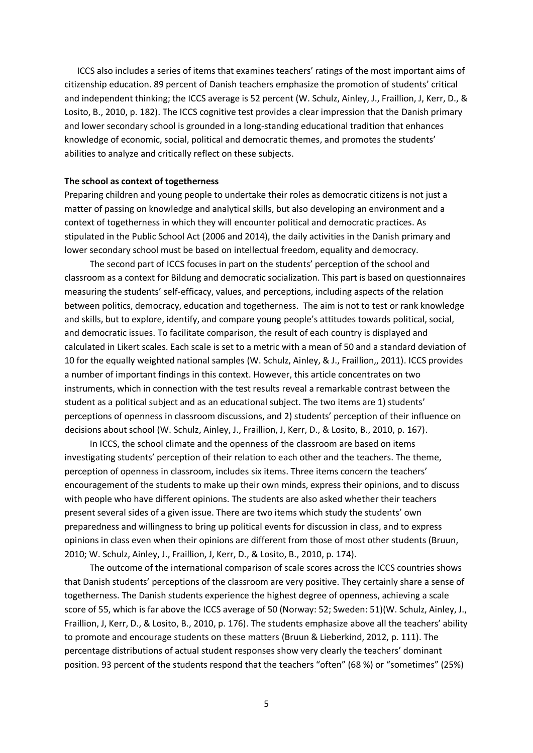ICCS also includes a series of items that examines teachers' ratings of the most important aims of citizenship education. 89 percent of Danish teachers emphasize the promotion of students' critical and independent thinking; the ICCS average is 52 percent (W. Schulz, Ainley, J., Fraillion, J, Kerr, D., & Losito, B., 2010, p. 182). The ICCS cognitive test provides a clear impression that the Danish primary and lower secondary school is grounded in a long-standing educational tradition that enhances knowledge of economic, social, political and democratic themes, and promotes the students' abilities to analyze and critically reflect on these subjects.

### **The school as context of togetherness**

Preparing children and young people to undertake their roles as democratic citizens is not just a matter of passing on knowledge and analytical skills, but also developing an environment and a context of togetherness in which they will encounter political and democratic practices. As stipulated in the Public School Act (2006 and 2014), the daily activities in the Danish primary and lower secondary school must be based on intellectual freedom, equality and democracy.

The second part of ICCS focuses in part on the students' perception of the school and classroom as a context for Bildung and democratic socialization. This part is based on questionnaires measuring the students' self-efficacy, values, and perceptions, including aspects of the relation between politics, democracy, education and togetherness. The aim is not to test or rank knowledge and skills, but to explore, identify, and compare young people's attitudes towards political, social, and democratic issues. To facilitate comparison, the result of each country is displayed and calculated in Likert scales. Each scale is set to a metric with a mean of 50 and a standard deviation of 10 for the equally weighted national samples (W. Schulz, Ainley, & J., Fraillion,, 2011). ICCS provides a number of important findings in this context. However, this article concentrates on two instruments, which in connection with the test results reveal a remarkable contrast between the student as a political subject and as an educational subject. The two items are 1) students' perceptions of openness in classroom discussions, and 2) students' perception of their influence on decisions about school (W. Schulz, Ainley, J., Fraillion, J, Kerr, D., & Losito, B., 2010, p. 167).

In ICCS, the school climate and the openness of the classroom are based on items investigating students' perception of their relation to each other and the teachers. The theme, perception of openness in classroom, includes six items. Three items concern the teachers' encouragement of the students to make up their own minds, express their opinions, and to discuss with people who have different opinions. The students are also asked whether their teachers present several sides of a given issue. There are two items which study the students' own preparedness and willingness to bring up political events for discussion in class, and to express opinions in class even when their opinions are different from those of most other students (Bruun, 2010; W. Schulz, Ainley, J., Fraillion, J, Kerr, D., & Losito, B., 2010, p. 174).

The outcome of the international comparison of scale scores across the ICCS countries shows that Danish students' perceptions of the classroom are very positive. They certainly share a sense of togetherness. The Danish students experience the highest degree of openness, achieving a scale score of 55, which is far above the ICCS average of 50 (Norway: 52; Sweden: 51)(W. Schulz, Ainley, J., Fraillion, J, Kerr, D., & Losito, B., 2010, p. 176). The students emphasize above all the teachers' ability to promote and encourage students on these matters (Bruun & Lieberkind, 2012, p. 111). The percentage distributions of actual student responses show very clearly the teachers' dominant position. 93 percent of the students respond that the teachers "often" (68 %) or "sometimes" (25%)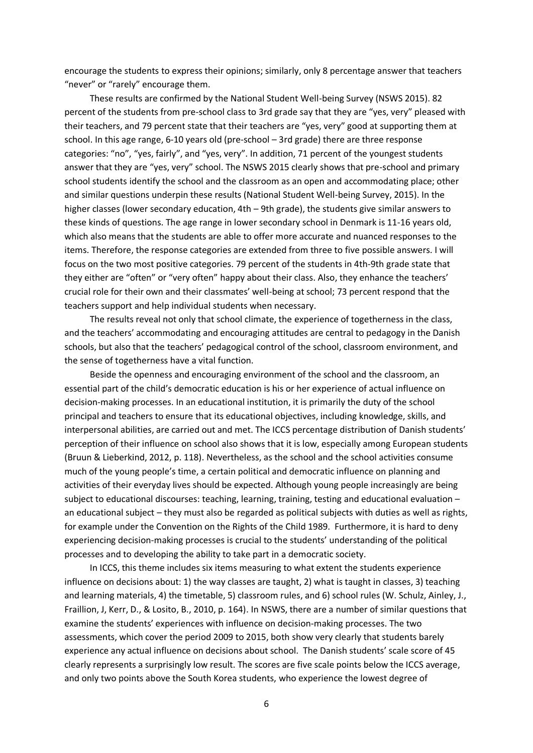encourage the students to express their opinions; similarly, only 8 percentage answer that teachers "never" or "rarely" encourage them.

These results are confirmed by the National Student Well-being Survey (NSWS 2015). 82 percent of the students from pre-school class to 3rd grade say that they are "yes, very" pleased with their teachers, and 79 percent state that their teachers are "yes, very" good at supporting them at school. In this age range, 6-10 years old (pre-school – 3rd grade) there are three response categories: "no", "yes, fairly", and "yes, very". In addition, 71 percent of the youngest students answer that they are "yes, very" school. The NSWS 2015 clearly shows that pre-school and primary school students identify the school and the classroom as an open and accommodating place; other and similar questions underpin these results (National Student Well-being Survey, 2015). In the higher classes (lower secondary education, 4th – 9th grade), the students give similar answers to these kinds of questions. The age range in lower secondary school in Denmark is 11-16 years old, which also means that the students are able to offer more accurate and nuanced responses to the items. Therefore, the response categories are extended from three to five possible answers. I will focus on the two most positive categories. 79 percent of the students in 4th-9th grade state that they either are "often" or "very often" happy about their class. Also, they enhance the teachers' crucial role for their own and their classmates' well-being at school; 73 percent respond that the teachers support and help individual students when necessary.

The results reveal not only that school climate, the experience of togetherness in the class, and the teachers' accommodating and encouraging attitudes are central to pedagogy in the Danish schools, but also that the teachers' pedagogical control of the school, classroom environment, and the sense of togetherness have a vital function.

Beside the openness and encouraging environment of the school and the classroom, an essential part of the child's democratic education is his or her experience of actual influence on decision-making processes. In an educational institution, it is primarily the duty of the school principal and teachers to ensure that its educational objectives, including knowledge, skills, and interpersonal abilities, are carried out and met. The ICCS percentage distribution of Danish students' perception of their influence on school also shows that it is low, especially among European students (Bruun & Lieberkind, 2012, p. 118). Nevertheless, as the school and the school activities consume much of the young people's time, a certain political and democratic influence on planning and activities of their everyday lives should be expected. Although young people increasingly are being subject to educational discourses: teaching, learning, training, testing and educational evaluation – an educational subject – they must also be regarded as political subjects with duties as well as rights, for example under the Convention on the Rights of the Child 1989. Furthermore, it is hard to deny experiencing decision-making processes is crucial to the students' understanding of the political processes and to developing the ability to take part in a democratic society.

In ICCS, this theme includes six items measuring to what extent the students experience influence on decisions about: 1) the way classes are taught, 2) what is taught in classes, 3) teaching and learning materials, 4) the timetable, 5) classroom rules, and 6) school rules (W. Schulz, Ainley, J., Fraillion, J, Kerr, D., & Losito, B., 2010, p. 164). In NSWS, there are a number of similar questions that examine the students' experiences with influence on decision-making processes. The two assessments, which cover the period 2009 to 2015, both show very clearly that students barely experience any actual influence on decisions about school. The Danish students' scale score of 45 clearly represents a surprisingly low result. The scores are five scale points below the ICCS average, and only two points above the South Korea students, who experience the lowest degree of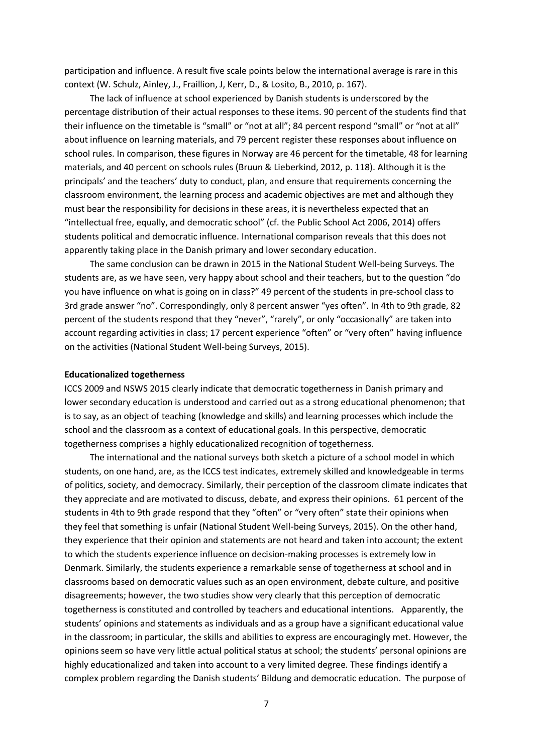participation and influence. A result five scale points below the international average is rare in this context (W. Schulz, Ainley, J., Fraillion, J, Kerr, D., & Losito, B., 2010, p. 167).

The lack of influence at school experienced by Danish students is underscored by the percentage distribution of their actual responses to these items. 90 percent of the students find that their influence on the timetable is "small" or "not at all"; 84 percent respond "small" or "not at all" about influence on learning materials, and 79 percent register these responses about influence on school rules. In comparison, these figures in Norway are 46 percent for the timetable, 48 for learning materials, and 40 percent on schools rules (Bruun & Lieberkind, 2012, p. 118). Although it is the principals' and the teachers' duty to conduct, plan, and ensure that requirements concerning the classroom environment, the learning process and academic objectives are met and although they must bear the responsibility for decisions in these areas, it is nevertheless expected that an "intellectual free, equally, and democratic school" (cf. the Public School Act 2006, 2014) offers students political and democratic influence. International comparison reveals that this does not apparently taking place in the Danish primary and lower secondary education.

The same conclusion can be drawn in 2015 in the National Student Well-being Surveys. The students are, as we have seen, very happy about school and their teachers, but to the question "do you have influence on what is going on in class?" 49 percent of the students in pre-school class to 3rd grade answer "no". Correspondingly, only 8 percent answer "yes often". In 4th to 9th grade, 82 percent of the students respond that they "never", "rarely", or only "occasionally" are taken into account regarding activities in class; 17 percent experience "often" or "very often" having influence on the activities (National Student Well-being Surveys, 2015).

#### **Educationalized togetherness**

ICCS 2009 and NSWS 2015 clearly indicate that democratic togetherness in Danish primary and lower secondary education is understood and carried out as a strong educational phenomenon; that is to say, as an object of teaching (knowledge and skills) and learning processes which include the school and the classroom as a context of educational goals. In this perspective, democratic togetherness comprises a highly educationalized recognition of togetherness.

The international and the national surveys both sketch a picture of a school model in which students, on one hand, are, as the ICCS test indicates, extremely skilled and knowledgeable in terms of politics, society, and democracy. Similarly, their perception of the classroom climate indicates that they appreciate and are motivated to discuss, debate, and express their opinions. 61 percent of the students in 4th to 9th grade respond that they "often" or "very often" state their opinions when they feel that something is unfair (National Student Well-being Surveys, 2015). On the other hand, they experience that their opinion and statements are not heard and taken into account; the extent to which the students experience influence on decision-making processes is extremely low in Denmark. Similarly, the students experience a remarkable sense of togetherness at school and in classrooms based on democratic values such as an open environment, debate culture, and positive disagreements; however, the two studies show very clearly that this perception of democratic togetherness is constituted and controlled by teachers and educational intentions. Apparently, the students' opinions and statements as individuals and as a group have a significant educational value in the classroom; in particular, the skills and abilities to express are encouragingly met. However, the opinions seem so have very little actual political status at school; the students' personal opinions are highly educationalized and taken into account to a very limited degree. These findings identify a complex problem regarding the Danish students' Bildung and democratic education. The purpose of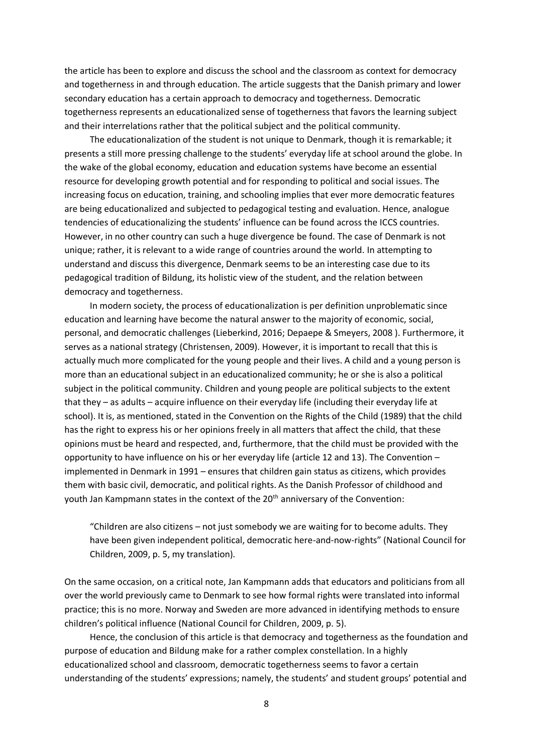the article has been to explore and discuss the school and the classroom as context for democracy and togetherness in and through education. The article suggests that the Danish primary and lower secondary education has a certain approach to democracy and togetherness. Democratic togetherness represents an educationalized sense of togetherness that favors the learning subject and their interrelations rather that the political subject and the political community.

The educationalization of the student is not unique to Denmark, though it is remarkable; it presents a still more pressing challenge to the students' everyday life at school around the globe. In the wake of the global economy, education and education systems have become an essential resource for developing growth potential and for responding to political and social issues. The increasing focus on education, training, and schooling implies that ever more democratic features are being educationalized and subjected to pedagogical testing and evaluation. Hence, analogue tendencies of educationalizing the students' influence can be found across the ICCS countries. However, in no other country can such a huge divergence be found. The case of Denmark is not unique; rather, it is relevant to a wide range of countries around the world. In attempting to understand and discuss this divergence, Denmark seems to be an interesting case due to its pedagogical tradition of Bildung, its holistic view of the student, and the relation between democracy and togetherness.

In modern society, the process of educationalization is per definition unproblematic since education and learning have become the natural answer to the majority of economic, social, personal, and democratic challenges (Lieberkind, 2016; Depaepe & Smeyers, 2008 ). Furthermore, it serves as a national strategy (Christensen, 2009). However, it is important to recall that this is actually much more complicated for the young people and their lives. A child and a young person is more than an educational subject in an educationalized community; he or she is also a political subject in the political community. Children and young people are political subjects to the extent that they – as adults – acquire influence on their everyday life (including their everyday life at school). It is, as mentioned, stated in the Convention on the Rights of the Child (1989) that the child has the right to express his or her opinions freely in all matters that affect the child, that these opinions must be heard and respected, and, furthermore, that the child must be provided with the opportunity to have influence on his or her everyday life (article 12 and 13). The Convention – implemented in Denmark in 1991 – ensures that children gain status as citizens, which provides them with basic civil, democratic, and political rights. As the Danish Professor of childhood and youth Jan Kampmann states in the context of the 20<sup>th</sup> anniversary of the Convention:

"Children are also citizens – not just somebody we are waiting for to become adults. They have been given independent political, democratic here-and-now-rights" (National Council for Children, 2009, p. 5, my translation)*.*

On the same occasion, on a critical note, Jan Kampmann adds that educators and politicians from all over the world previously came to Denmark to see how formal rights were translated into informal practice; this is no more. Norway and Sweden are more advanced in identifying methods to ensure children's political influence (National Council for Children, 2009, p. 5).

Hence, the conclusion of this article is that democracy and togetherness as the foundation and purpose of education and Bildung make for a rather complex constellation. In a highly educationalized school and classroom, democratic togetherness seems to favor a certain understanding of the students' expressions; namely, the students' and student groups' potential and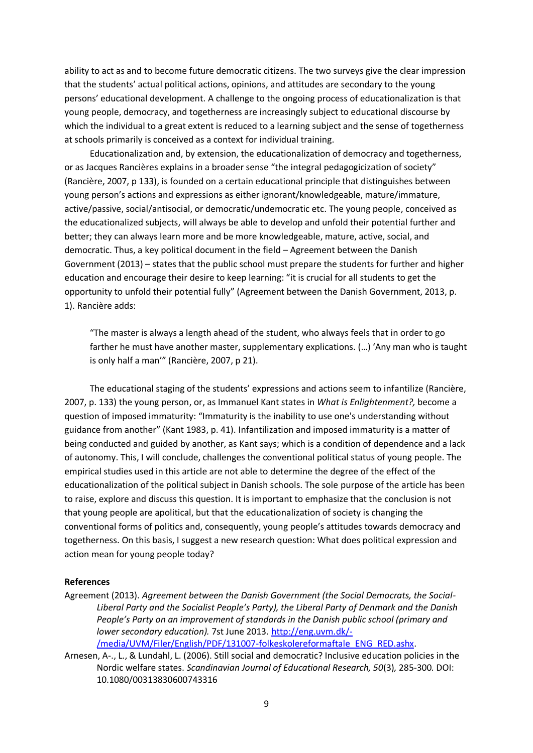ability to act as and to become future democratic citizens. The two surveys give the clear impression that the students' actual political actions, opinions, and attitudes are secondary to the young persons' educational development. A challenge to the ongoing process of educationalization is that young people, democracy, and togetherness are increasingly subject to educational discourse by which the individual to a great extent is reduced to a learning subject and the sense of togetherness at schools primarily is conceived as a context for individual training.

Educationalization and, by extension, the educationalization of democracy and togetherness, or as Jacques Rancières explains in a broader sense "the integral pedagogicization of society" (Rancière, 2007, p 133), is founded on a certain educational principle that distinguishes between young person's actions and expressions as either ignorant/knowledgeable, mature/immature, active/passive, social/antisocial, or democratic/undemocratic etc. The young people, conceived as the educationalized subjects, will always be able to develop and unfold their potential further and better; they can always learn more and be more knowledgeable, mature, active, social, and democratic. Thus, a key political document in the field – Agreement between the Danish Government (2013) – states that the public school must prepare the students for further and higher education and encourage their desire to keep learning: "it is crucial for all students to get the opportunity to unfold their potential fully" (Agreement between the Danish Government, 2013, p. 1). Rancière adds:

"The master is always a length ahead of the student, who always feels that in order to go farther he must have another master, supplementary explications. (…) 'Any man who is taught is only half a man'" (Rancière, 2007, p 21).

The educational staging of the students' expressions and actions seem to infantilize (Rancière, 2007, p. 133) the young person, or, as Immanuel Kant states in *What is Enlightenment?,* become a question of imposed immaturity: "Immaturity is the inability to use one's understanding without guidance from another" (Kant 1983, p. 41). Infantilization and imposed immaturity is a matter of being conducted and guided by another, as Kant says; which is a condition of dependence and a lack of autonomy. This, I will conclude, challenges the conventional political status of young people. The empirical studies used in this article are not able to determine the degree of the effect of the educationalization of the political subject in Danish schools. The sole purpose of the article has been to raise, explore and discuss this question. It is important to emphasize that the conclusion is not that young people are apolitical, but that the educationalization of society is changing the conventional forms of politics and, consequently, young people's attitudes towards democracy and togetherness. On this basis, I suggest a new research question: What does political expression and action mean for young people today?

# **References**

- Agreement (2013). *Agreement between the Danish Government (the Social Democrats, the Social-Liberal Party and the Socialist People's Party), the Liberal Party of Denmark and the Danish People's Party on an improvement of standards in the Danish public school (primary and lower secondary education).* 7st June 2013. [http://eng.uvm.dk/-](http://eng.uvm.dk/-/media/UVM/Filer/English/PDF/131007-folkeskolereformaftale_ENG_RED.ashx) [/media/UVM/Filer/English/PDF/131007-folkeskolereformaftale\\_ENG\\_RED.ashx.](http://eng.uvm.dk/-/media/UVM/Filer/English/PDF/131007-folkeskolereformaftale_ENG_RED.ashx)
- Arnesen, A-., L., & Lundahl, L. (2006). Still social and democratic? Inclusive education policies in the Nordic welfare states. *Scandinavian Journal of Educational Research, 50*(3)*,* 285-300*.* DOI: 10.1080/00313830600743316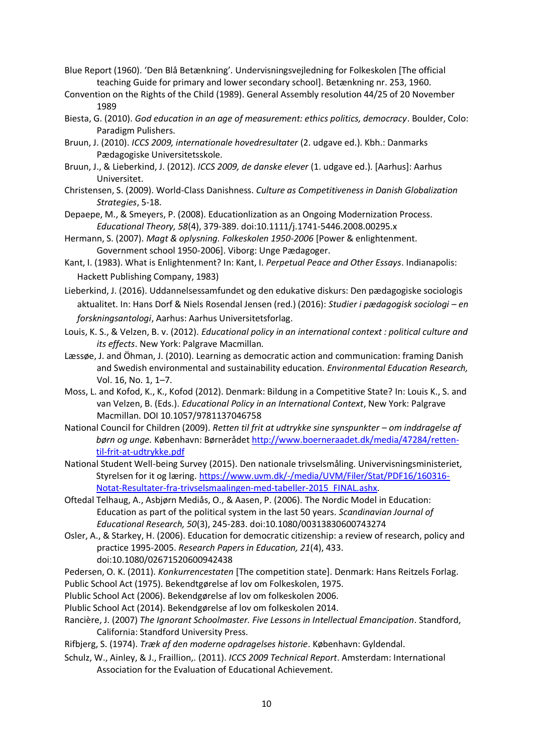- Blue Report (1960). 'Den Blå Betænkning'. Undervisningsvejledning for Folkeskolen [The official teaching Guide for primary and lower secondary school]. Betænkning nr. 253, 1960.
- Convention on the Rights of the Child (1989). General Assembly resolution 44/25 of 20 November 1989
- Biesta, G. (2010). *God education in an age of measurement: ethics politics, democracy*. Boulder, Colo: Paradigm Pulishers.
- Bruun, J. (2010). *ICCS 2009, internationale hovedresultater* (2. udgave ed.). Kbh.: Danmarks Pædagogiske Universitetsskole.
- Bruun, J., & Lieberkind, J. (2012). *ICCS 2009, de danske elever* (1. udgave ed.). [Aarhus]: Aarhus Universitet.
- Christensen, S. (2009). World-Class Danishness. *Culture as Competitiveness in Danish Globalization Strategies*, 5-18.
- Depaepe, M., & Smeyers, P. (2008). Educationlization as an Ongoing Modernization Process. *Educational Theory, 58*(4), 379-389. doi:10.1111/j.1741-5446.2008.00295.x
- Hermann, S. (2007). *Magt & oplysning. Folkeskolen 1950-2006* [Power & enlightenment. Government school 1950-2006]. Viborg: Unge Pædagoger.
- Kant, I. (1983). What is Enlightenment? In: Kant, I. *Perpetual Peace and Other Essays*. Indianapolis: Hackett Publishing Company, 1983)
- Lieberkind, J. (2016). Uddannelsessamfundet og den edukative diskurs: Den pædagogiske sociologis aktualitet. In: Hans Dorf & Niels Rosendal Jensen (red.) (2016): *Studier i pædagogisk sociologi – en forskningsantologi*, Aarhus: Aarhus Universitetsforlag.
- Louis, K. S., & Velzen, B. v. (2012). *Educational policy in an international context : political culture and its effects*. New York: Palgrave Macmillan.
- Læssøe, J. and Öhman, J. (2010). Learning as democratic action and communication: framing Danish and Swedish environmental and sustainability education. *Environmental Education Research,*  Vol. 16, No. 1, 1–7.
- Moss, L. and Kofod, K., K., Kofod (2012). Denmark: Bildung in a Competitive State? In: Louis K., S. and van Velzen, B. (Eds.). *Educational Policy in an International Context*, New York: Palgrave Macmillan. DOI 10.1057/9781137046758
- National Council for Children (2009). *Retten til frit at udtrykke sine synspunkter – om inddragelse af børn og unge.* København: Børneråde[t http://www.boerneraadet.dk/media/47284/retten](http://www.boerneraadet.dk/media/47284/retten-til-frit-at-udtrykke.pdf)[til-frit-at-udtrykke.pdf](http://www.boerneraadet.dk/media/47284/retten-til-frit-at-udtrykke.pdf)
- National Student Well-being Survey (2015). Den nationale trivselsmåling. Univervisningsministeriet, Styrelsen for it og læring. [https://www.uvm.dk/-/media/UVM/Filer/Stat/PDF16/160316-](https://www.uvm.dk/-/media/UVM/Filer/Stat/PDF16/160316-Notat-Resultater-fra-trivselsmaalingen-med-tabeller-2015_FINAL.ashx) [Notat-Resultater-fra-trivselsmaalingen-med-tabeller-2015\\_FINAL.ashx.](https://www.uvm.dk/-/media/UVM/Filer/Stat/PDF16/160316-Notat-Resultater-fra-trivselsmaalingen-med-tabeller-2015_FINAL.ashx)
- Oftedal Telhaug, A., Asbjørn Mediås, O., & Aasen, P. (2006). The Nordic Model in Education: Education as part of the political system in the last 50 years. *Scandinavian Journal of Educational Research, 50*(3), 245-283. doi:10.1080/00313830600743274
- Osler, A., & Starkey, H. (2006). Education for democratic citizenship: a review of research, policy and practice 1995-2005. *Research Papers in Education, 21*(4), 433. doi:10.1080/02671520600942438
- Pedersen, O. K. (2011). *Konkurrencestaten* [The competition state]. Denmark: Hans Reitzels Forlag. Public School Act (1975). Bekendtgørelse af lov om Folkeskolen, 1975.
- Plublic School Act (2006). Bekendgørelse af lov om folkeskolen 2006.
- Plublic School Act (2014). Bekendgørelse af lov om folkeskolen 2014.
- Rancière, J. (2007) *The Ignorant Schoolmaster. Five Lessons in Intellectual Emancipation*. Standford, California: Standford University Press.
- Rifbjerg, S. (1974). *Træk af den moderne opdragelses historie*. København: Gyldendal.
- Schulz, W., Ainley, & J., Fraillion,. (2011). *ICCS 2009 Technical Report*. Amsterdam: International Association for the Evaluation of Educational Achievement.